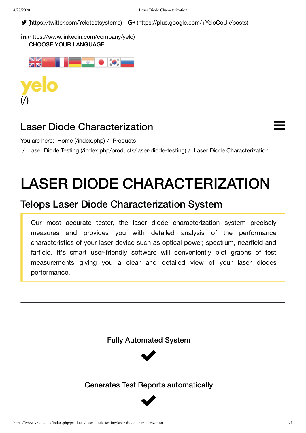■ [\(https://twitter.com/Yelotestsystems\)](https://twitter.com/Yelotestsystems) G+ [\(https://plus.google.com/+YeloCoUk/posts\)](https://plus.google.com/+YeloCoUk/posts)

```
(https://www.linkedin.com/company/yelo)
CHOOSE YOUR LANGUAGE
```


## Laser Diode Characterization

You are here: Home [\(/index.php\)](https://www.yelo.co.uk/index.php) / Products

/ Laser Diode Testing [\(/index.php/products/laser-diode-testing\)](https://www.yelo.co.uk/index.php/products/laser-diode-testing) / Laser Diode Characterization

# LASER DIODE CHARACTERIZATION

## Telops Laser Diode Characterization System

Our most accurate tester, the laser diode characterization system precisely measures and provides you with detailed analysis of the performance characteristics of your laser device such as optical power, spectrum, nearfield and farfield. It's smart user-friendly software will conveniently plot graphs of test measurements giving you a clear and detailed view of your laser diodes performance.

Fully Automated System



### Generates Test Reports automatically



 $\equiv$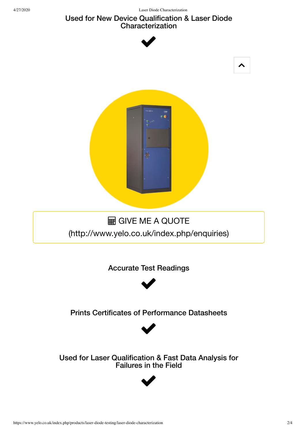### Used for New Device Qualification & Laser Diode Characterization



Used for Laser Qualification & Fast Data Analysis for Failures in the Field

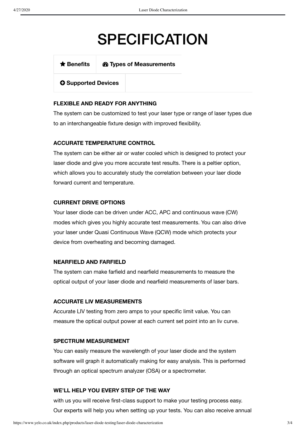# **SPECIFICATION**

**[Benefits](#page-2-0) Types of Measurements**

**Supported Devices**

#### <span id="page-2-0"></span>**FLEXIBLE AND READY FOR ANYTHING**

The system can be customized to test your laser type or range of laser types due to an interchangeable fixture design with improved flexibility.

#### **ACCURATE TEMPERATURE CONTROL**

The system can be either air or water cooled which is designed to protect your laser diode and give you more accurate test results. There is a peltier option, which allows you to accurately study the correlation between your laer diode forward current and temperature.

#### **CURRENT DRIVE OPTIONS**

Your laser diode can be driven under ACC, APC and continuous wave (CW) modes which gives you highly accurate test measurements. You can also drive your laser under Quasi Continuous Wave (QCW) mode which protects your device from overheating and becoming damaged.

#### **NEARFIELD AND FARFIELD**

The system can make farfield and nearfield measurements to measure the optical output of your laser diode and nearfield measurements of laser bars.

#### **ACCURATE LIV MEASUREMENTS**

Accurate LIV testing from zero amps to your specific limit value. You can measure the optical output power at each current set point into an liv curve.

#### **SPECTRUM MEASUREMENT**

You can easily measure the wavelength of your laser diode and the system software will graph it automatically making for easy analysis. This is performed through an optical spectrum analyzer (OSA) or a spectrometer.

#### **WE'LL HELP YOU EVERY STEP OF THE WAY**

with us you will receive first-class support to make your testing process easy. Our experts will help you when setting up your tests. You can also receive annual